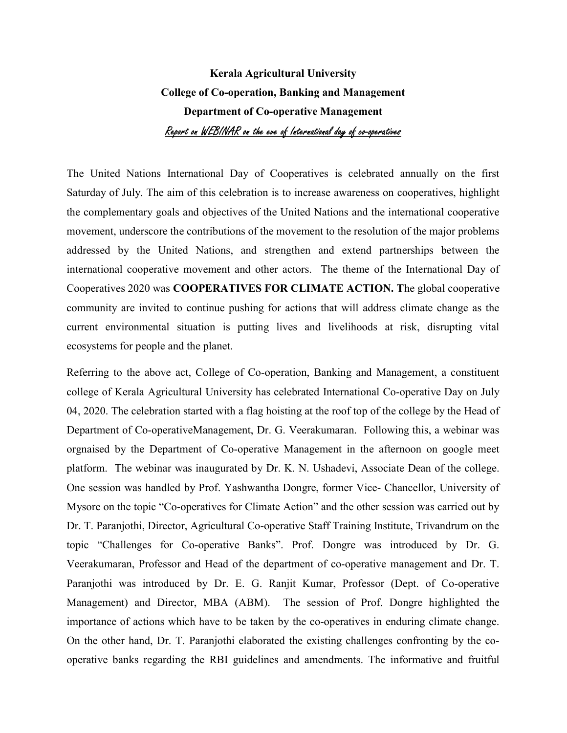## Kerala Agricultural University College of Co-operation, Banking and Management Department of Co-operative Management Report on WEBINAR on the eve of International day of co-operatives

The United Nations International Day of Cooperatives is celebrated annually on the first Saturday of July. The aim of this celebration is to increase awareness on cooperatives, highlight the complementary goals and objectives of the United Nations and the international cooperative movement, underscore the contributions of the movement to the resolution of the major problems addressed by the United Nations, and strengthen and extend partnerships between the international cooperative movement and other actors. The theme of the International Day of Cooperatives 2020 was COOPERATIVES FOR CLIMATE ACTION. The global cooperative community are invited to continue pushing for actions that will address climate change as the current environmental situation is putting lives and livelihoods at risk, disrupting vital ecosystems for people and the planet.

Referring to the above act, College of Co-operation, Banking and Management, a constituent college of Kerala Agricultural University has celebrated International Co-operative Day on July 04, 2020. The celebration started with a flag hoisting at the roof top of the college by the Head of Department of Co-operativeManagement, Dr. G. Veerakumaran. Following this, a webinar was orgnaised by the Department of Co-operative Management in the afternoon on google meet platform. The webinar was inaugurated by Dr. K. N. Ushadevi, Associate Dean of the college. One session was handled by Prof. Yashwantha Dongre, former Vice- Chancellor, University of Mysore on the topic "Co-operatives for Climate Action" and the other session was carried out by Dr. T. Paranjothi, Director, Agricultural Co-operative Staff Training Institute, Trivandrum on the topic "Challenges for Co-operative Banks". Prof. Dongre was introduced by Dr. G. Veerakumaran, Professor and Head of the department of co-operative management and Dr. T. Paranjothi was introduced by Dr. E. G. Ranjit Kumar, Professor (Dept. of Co-operative Management) and Director, MBA (ABM). The session of Prof. Dongre highlighted the importance of actions which have to be taken by the co-operatives in enduring climate change. On the other hand, Dr. T. Paranjothi elaborated the existing challenges confronting by the cooperative banks regarding the RBI guidelines and amendments. The informative and fruitful